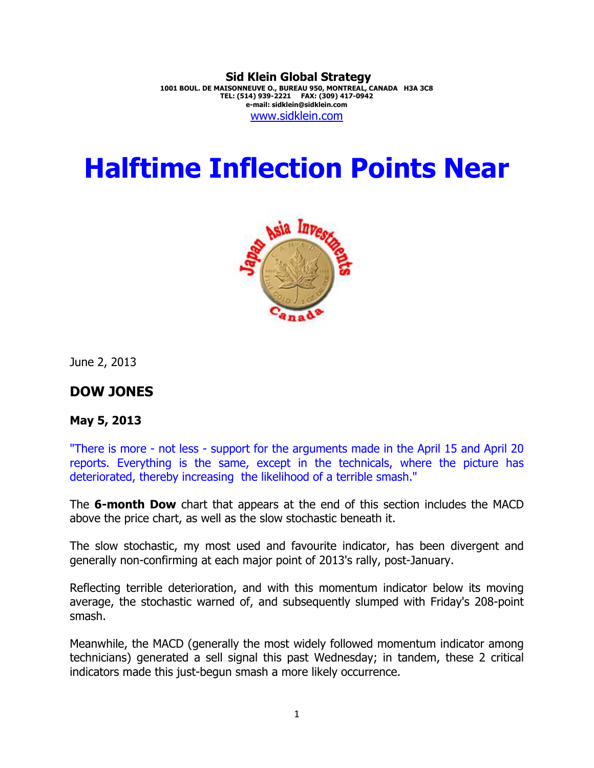**Sid Klein Global Strategy 1001 BOUL. DE MAISONNEUVE O., BUREAU 950, MONTREAL, CANADA H3A 3C8 TEL: (514) 939-2221 FAX: (309) 417-0942 e-mail: sidklein@sidklein.com**  www.sidklein.com

# **Halftime Inflection Points Near**



June 2, 2013

## **DOW JONES**

#### **May 5, 2013**

"There is more - not less - support for the arguments made in the April 15 and April 20 reports. Everything is the same, except in the technicals, where the picture has deteriorated, thereby increasing the likelihood of a terrible smash."

The **6-month Dow** chart that appears at the end of this section includes the MACD above the price chart, as well as the slow stochastic beneath it.

The slow stochastic, my most used and favourite indicator, has been divergent and generally non-confirming at each major point of 2013's rally, post-January.

Reflecting terrible deterioration, and with this momentum indicator below its moving average, the stochastic warned of, and subsequently slumped with Friday's 208-point smash.

Meanwhile, the MACD (generally the most widely followed momentum indicator among technicians) generated a sell signal this past Wednesday; in tandem, these 2 critical indicators made this just-begun smash a more likely occurrence.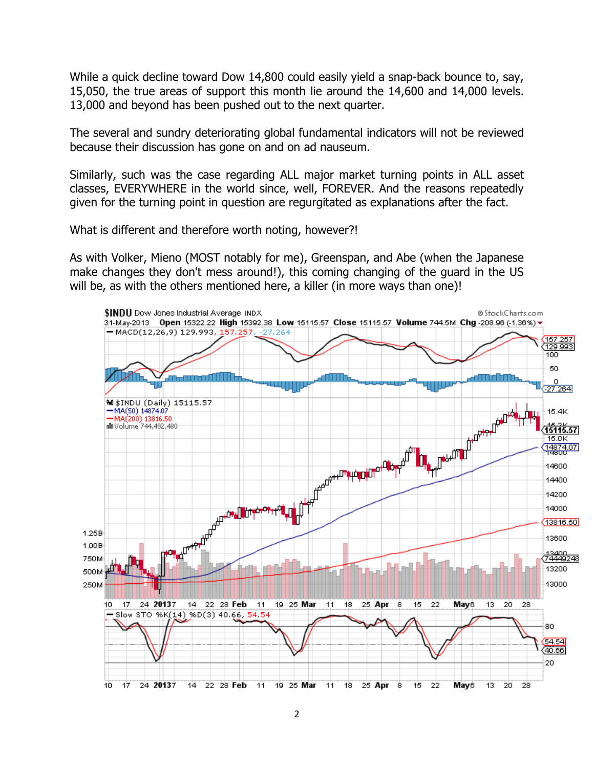While a quick decline toward Dow 14,800 could easily yield a snap-back bounce to, say, 15,050, the true areas of support this month lie around the 14,600 and 14,000 levels. 13,000 and beyond has been pushed out to the next quarter.

The several and sundry deteriorating global fundamental indicators will not be reviewed because their discussion has gone on and on ad nauseum.

Similarly, such was the case regarding ALL major market turning points in ALL asset classes, EVERYWHERE in the world since, well, FOREVER. And the reasons repeatedly given for the turning point in question are regurgitated as explanations after the fact.

What is different and therefore worth noting, however?!

As with Volker, Mieno (MOST notably for me), Greenspan, and Abe (when the Japanese make changes they don't mess around!), this coming changing of the guard in the US will be, as with the others mentioned here, a killer (in more ways than one)!

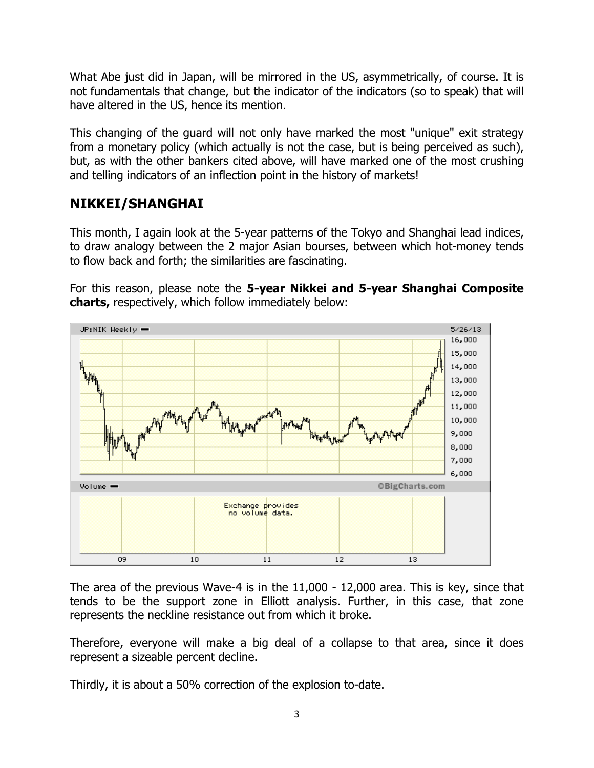What Abe just did in Japan, will be mirrored in the US, asymmetrically, of course. It is not fundamentals that change, but the indicator of the indicators (so to speak) that will have altered in the US, hence its mention.

This changing of the guard will not only have marked the most "unique" exit strategy from a monetary policy (which actually is not the case, but is being perceived as such), but, as with the other bankers cited above, will have marked one of the most crushing and telling indicators of an inflection point in the history of markets!

# **NIKKEI/SHANGHAI**

This month, I again look at the 5-year patterns of the Tokyo and Shanghai lead indices, to draw analogy between the 2 major Asian bourses, between which hot-money tends to flow back and forth; the similarities are fascinating.

For this reason, please note the **5-year Nikkei and 5-year Shanghai Composite charts,** respectively, which follow immediately below:



The area of the previous Wave-4 is in the 11,000 - 12,000 area. This is key, since that tends to be the support zone in Elliott analysis. Further, in this case, that zone represents the neckline resistance out from which it broke.

Therefore, everyone will make a big deal of a collapse to that area, since it does represent a sizeable percent decline.

Thirdly, it is about a 50% correction of the explosion to-date.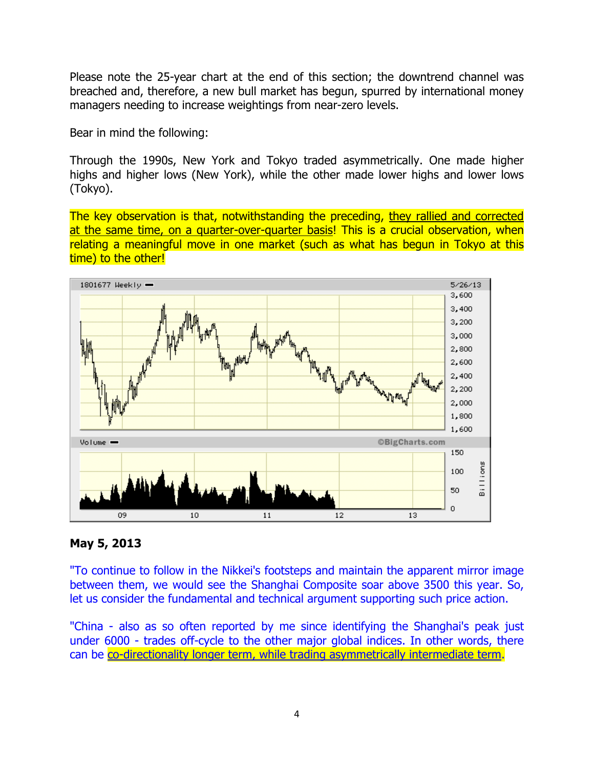Please note the 25-year chart at the end of this section; the downtrend channel was breached and, therefore, a new bull market has begun, spurred by international money managers needing to increase weightings from near-zero levels.

Bear in mind the following:

Through the 1990s, New York and Tokyo traded asymmetrically. One made higher highs and higher lows (New York), while the other made lower highs and lower lows (Tokyo).

The key observation is that, notwithstanding the preceding, they rallied and corrected at the same time, on a quarter-over-quarter basis! This is a crucial observation, when relating a meaningful move in one market (such as what has begun in Tokyo at this time) to the other!



### **May 5, 2013**

"To continue to follow in the Nikkei's footsteps and maintain the apparent mirror image between them, we would see the Shanghai Composite soar above 3500 this year. So, let us consider the fundamental and technical argument supporting such price action.

"China - also as so often reported by me since identifying the Shanghai's peak just under 6000 - trades off-cycle to the other major global indices. In other words, there can be co-directionality longer term, while trading asymmetrically intermediate term.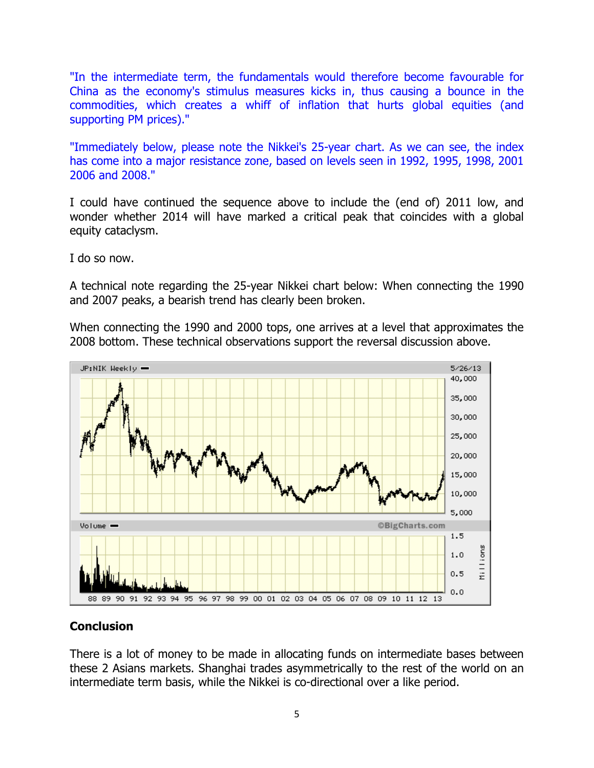"In the intermediate term, the fundamentals would therefore become favourable for China as the economy's stimulus measures kicks in, thus causing a bounce in the commodities, which creates a whiff of inflation that hurts global equities (and supporting PM prices)."

"Immediately below, please note the Nikkei's 25-year chart. As we can see, the index has come into a major resistance zone, based on levels seen in 1992, 1995, 1998, 2001 2006 and 2008."

I could have continued the sequence above to include the (end of) 2011 low, and wonder whether 2014 will have marked a critical peak that coincides with a global equity cataclysm.

I do so now.

A technical note regarding the 25-year Nikkei chart below: When connecting the 1990 and 2007 peaks, a bearish trend has clearly been broken.

When connecting the 1990 and 2000 tops, one arrives at a level that approximates the 2008 bottom. These technical observations support the reversal discussion above.



### **Conclusion**

There is a lot of money to be made in allocating funds on intermediate bases between these 2 Asians markets. Shanghai trades asymmetrically to the rest of the world on an intermediate term basis, while the Nikkei is co-directional over a like period.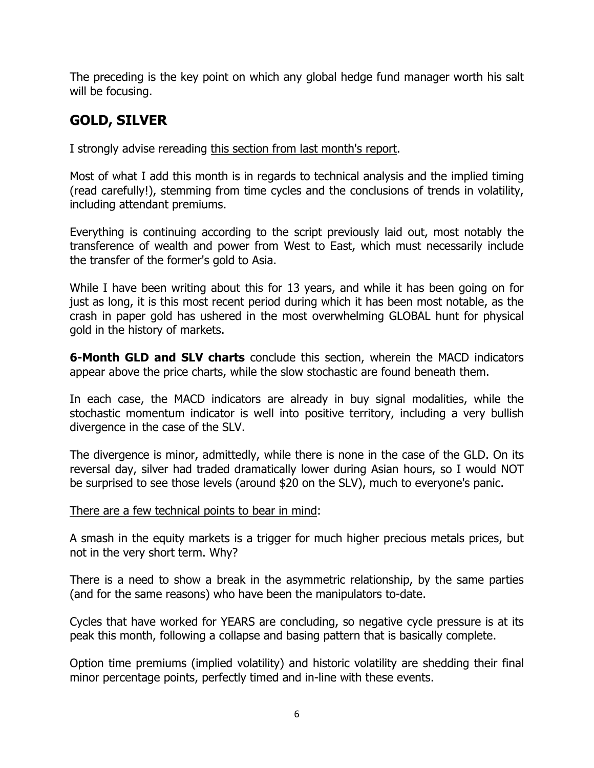The preceding is the key point on which any global hedge fund manager worth his salt will be focusing.

# **GOLD, SILVER**

I strongly advise rereading this section from last month's report.

Most of what I add this month is in regards to technical analysis and the implied timing (read carefully!), stemming from time cycles and the conclusions of trends in volatility, including attendant premiums.

Everything is continuing according to the script previously laid out, most notably the transference of wealth and power from West to East, which must necessarily include the transfer of the former's gold to Asia.

While I have been writing about this for 13 years, and while it has been going on for just as long, it is this most recent period during which it has been most notable, as the crash in paper gold has ushered in the most overwhelming GLOBAL hunt for physical gold in the history of markets.

**6-Month GLD and SLV charts** conclude this section, wherein the MACD indicators appear above the price charts, while the slow stochastic are found beneath them.

In each case, the MACD indicators are already in buy signal modalities, while the stochastic momentum indicator is well into positive territory, including a very bullish divergence in the case of the SLV.

The divergence is minor, admittedly, while there is none in the case of the GLD. On its reversal day, silver had traded dramatically lower during Asian hours, so I would NOT be surprised to see those levels (around \$20 on the SLV), much to everyone's panic.

### There are a few technical points to bear in mind:

A smash in the equity markets is a trigger for much higher precious metals prices, but not in the very short term. Why?

There is a need to show a break in the asymmetric relationship, by the same parties (and for the same reasons) who have been the manipulators to-date.

Cycles that have worked for YEARS are concluding, so negative cycle pressure is at its peak this month, following a collapse and basing pattern that is basically complete.

Option time premiums (implied volatility) and historic volatility are shedding their final minor percentage points, perfectly timed and in-line with these events.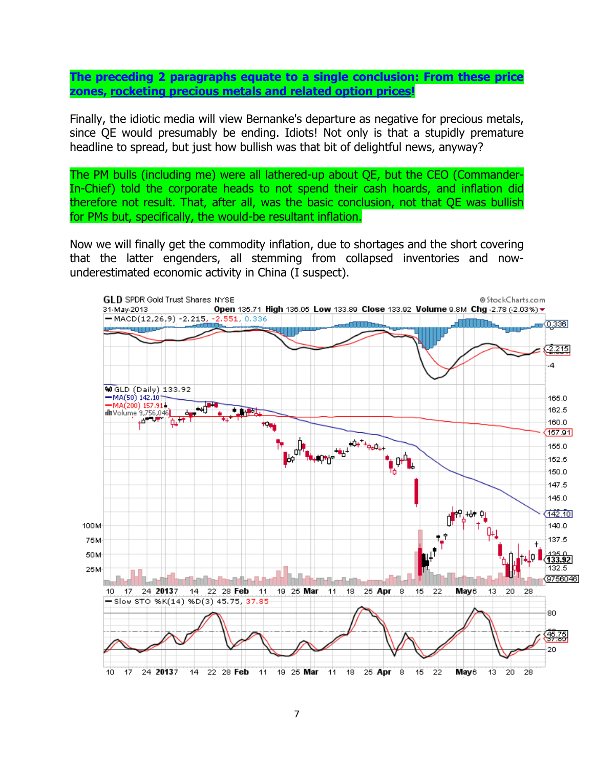**The preceding 2 paragraphs equate to a single conclusion: From these price zones, rocketing precious metals and related option prices!** 

Finally, the idiotic media will view Bernanke's departure as negative for precious metals, since QE would presumably be ending. Idiots! Not only is that a stupidly premature headline to spread, but just how bullish was that bit of delightful news, anyway?

The PM bulls (including me) were all lathered-up about QE, but the CEO (Commander-In-Chief) told the corporate heads to not spend their cash hoards, and inflation did therefore not result. That, after all, was the basic conclusion, not that QE was bullish for PMs but, specifically, the would-be resultant inflation.

Now we will finally get the commodity inflation, due to shortages and the short covering that the latter engenders, all stemming from collapsed inventories and nowunderestimated economic activity in China (I suspect).

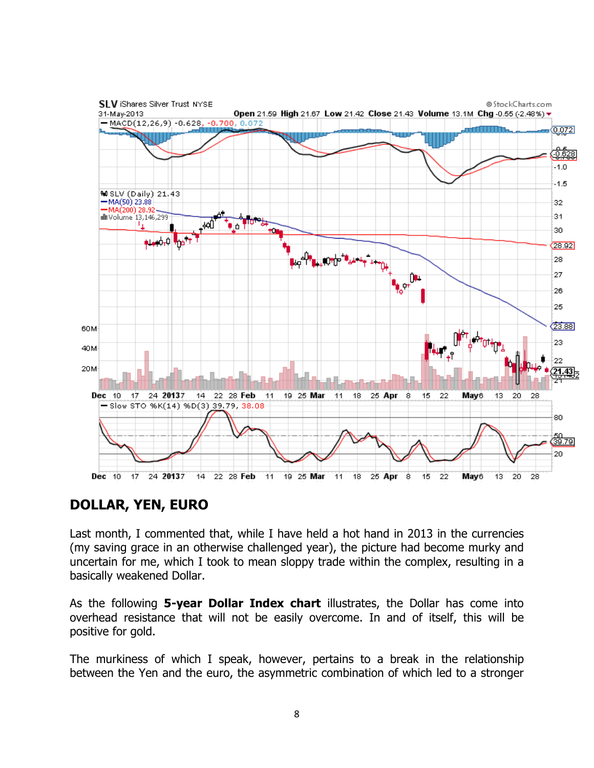

## **DOLLAR, YEN, EURO**

Last month, I commented that, while I have held a hot hand in 2013 in the currencies (my saving grace in an otherwise challenged year), the picture had become murky and uncertain for me, which I took to mean sloppy trade within the complex, resulting in a basically weakened Dollar.

As the following **5-year Dollar Index chart** illustrates, the Dollar has come into overhead resistance that will not be easily overcome. In and of itself, this will be positive for gold.

The murkiness of which I speak, however, pertains to a break in the relationship between the Yen and the euro, the asymmetric combination of which led to a stronger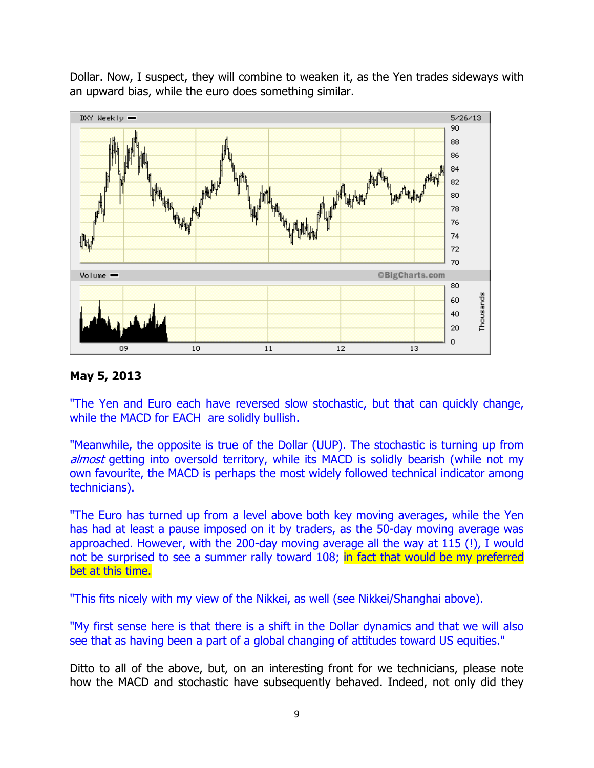Dollar. Now, I suspect, they will combine to weaken it, as the Yen trades sideways with an upward bias, while the euro does something similar.



## **May 5, 2013**

"The Yen and Euro each have reversed slow stochastic, but that can quickly change, while the MACD for EACH are solidly bullish.

"Meanwhile, the opposite is true of the Dollar (UUP). The stochastic is turning up from almost getting into oversold territory, while its MACD is solidly bearish (while not my own favourite, the MACD is perhaps the most widely followed technical indicator among technicians).

"The Euro has turned up from a level above both key moving averages, while the Yen has had at least a pause imposed on it by traders, as the 50-day moving average was approached. However, with the 200-day moving average all the way at 115 (!), I would not be surprised to see a summer rally toward 108; in fact that would be my preferred bet at this time.

"This fits nicely with my view of the Nikkei, as well (see Nikkei/Shanghai above).

"My first sense here is that there is a shift in the Dollar dynamics and that we will also see that as having been a part of a global changing of attitudes toward US equities."

Ditto to all of the above, but, on an interesting front for we technicians, please note how the MACD and stochastic have subsequently behaved. Indeed, not only did they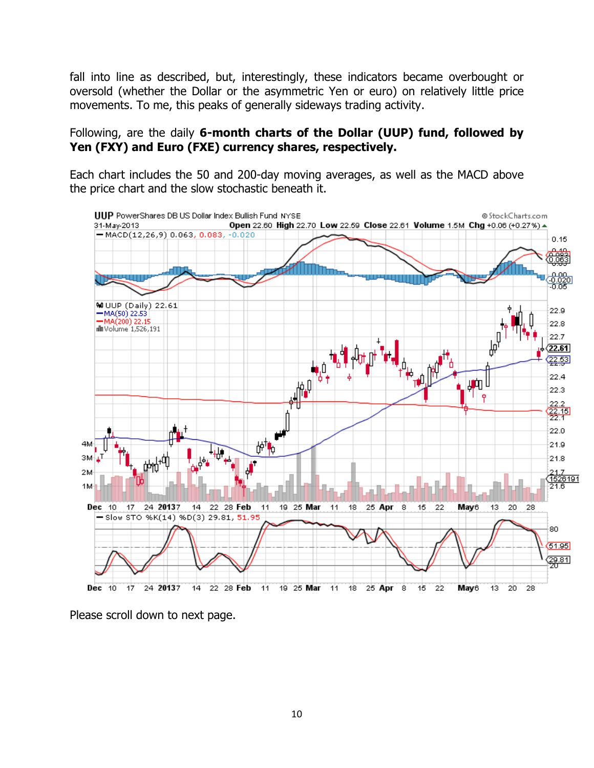fall into line as described, but, interestingly, these indicators became overbought or oversold (whether the Dollar or the asymmetric Yen or euro) on relatively little price movements. To me, this peaks of generally sideways trading activity.

## Following, are the daily **6-month charts of the Dollar (UUP) fund, followed by Yen (FXY) and Euro (FXE) currency shares, respectively.**

Each chart includes the 50 and 200-day moving averages, as well as the MACD above the price chart and the slow stochastic beneath it.



Please scroll down to next page.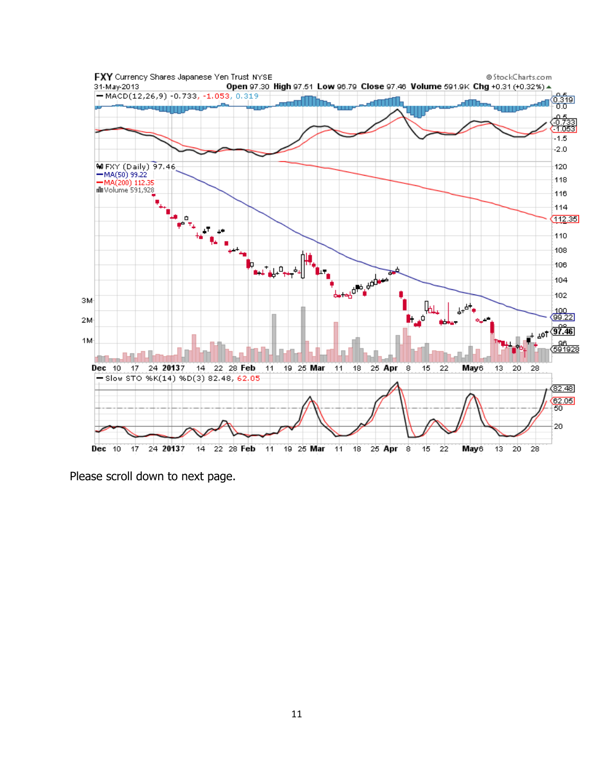

Please scroll down to next page.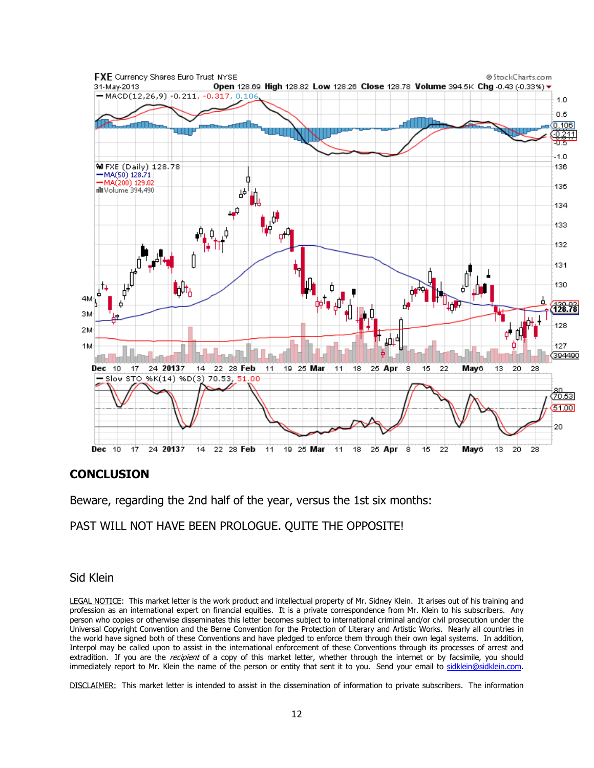

#### **CONCLUSION**

Beware, regarding the 2nd half of the year, versus the 1st six months:

### PAST WILL NOT HAVE BEEN PROLOGUE. QUITE THE OPPOSITE!

#### Sid Klein

LEGAL NOTICE: This market letter is the work product and intellectual property of Mr. Sidney Klein. It arises out of his training and profession as an international expert on financial equities. It is a private correspondence from Mr. Klein to his subscribers. Any person who copies or otherwise disseminates this letter becomes subject to international criminal and/or civil prosecution under the Universal Copyright Convention and the Berne Convention for the Protection of Literary and Artistic Works. Nearly all countries in the world have signed both of these Conventions and have pledged to enforce them through their own legal systems. In addition, Interpol may be called upon to assist in the international enforcement of these Conventions through its processes of arrest and extradition. If you are the *recipient* of a copy of this market letter, whether through the internet or by facsimile, you should immediately report to Mr. Klein the name of the person or entity that sent it to you. Send your email to sidklein@sidklein.com.

DISCLAIMER: This market letter is intended to assist in the dissemination of information to private subscribers. The information